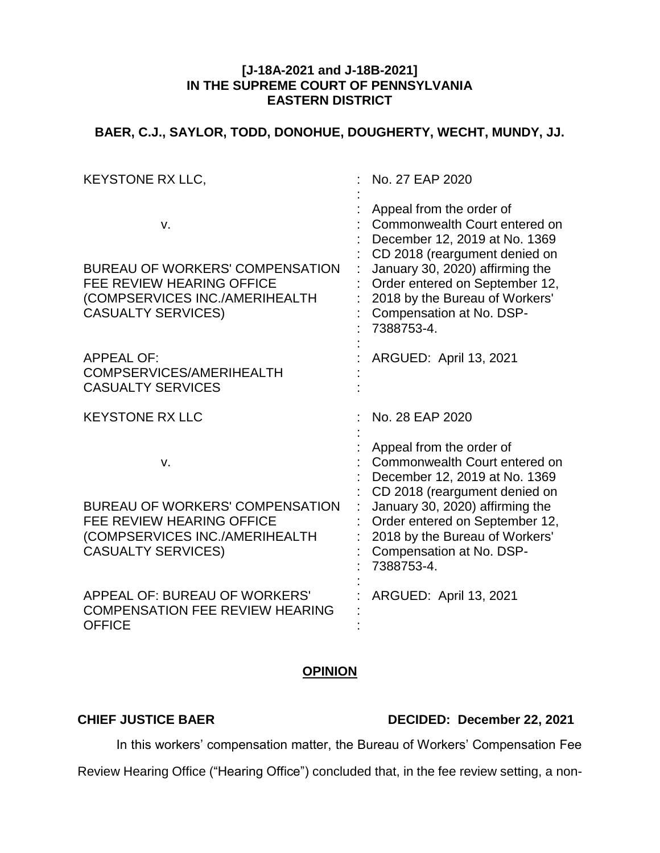#### **[J-18A-2021 and J-18B-2021] IN THE SUPREME COURT OF PENNSYLVANIA EASTERN DISTRICT**

# **BAER, C.J., SAYLOR, TODD, DONOHUE, DOUGHERTY, WECHT, MUNDY, JJ.**

| <b>KEYSTONE RX LLC,</b>                                                                                                                         | No. 27 EAP 2020                                                                                                                                                                                                                                                              |
|-------------------------------------------------------------------------------------------------------------------------------------------------|------------------------------------------------------------------------------------------------------------------------------------------------------------------------------------------------------------------------------------------------------------------------------|
| v.<br><b>BUREAU OF WORKERS' COMPENSATION</b><br><b>FEE REVIEW HEARING OFFICE</b><br>(COMPSERVICES INC./AMERIHEALTH<br><b>CASUALTY SERVICES)</b> | Appeal from the order of<br>Commonwealth Court entered on<br>December 12, 2019 at No. 1369<br>CD 2018 (reargument denied on<br>January 30, 2020) affirming the<br>Order entered on September 12,<br>2018 by the Bureau of Workers'<br>Compensation at No. DSP-<br>7388753-4. |
| <b>APPEAL OF:</b><br>COMPSERVICES/AMERIHEALTH<br><b>CASUALTY SERVICES</b>                                                                       | ARGUED: April 13, 2021                                                                                                                                                                                                                                                       |
| <b>KEYSTONE RX LLC</b>                                                                                                                          | No. 28 EAP 2020                                                                                                                                                                                                                                                              |
| v.<br><b>BUREAU OF WORKERS' COMPENSATION</b><br><b>FEE REVIEW HEARING OFFICE</b><br>(COMPSERVICES INC./AMERIHEALTH<br><b>CASUALTY SERVICES)</b> | Appeal from the order of<br>Commonwealth Court entered on<br>December 12, 2019 at No. 1369<br>CD 2018 (reargument denied on<br>January 30, 2020) affirming the<br>Order entered on September 12,<br>2018 by the Bureau of Workers'<br>Compensation at No. DSP-<br>7388753-4. |
| APPEAL OF: BUREAU OF WORKERS'<br><b>COMPENSATION FEE REVIEW HEARING</b><br><b>OFFICE</b>                                                        | <b>ARGUED: April 13, 2021</b>                                                                                                                                                                                                                                                |

## **OPINION**

### **CHIEF JUSTICE BAER DECIDED: December 22, 2021**

In this workers' compensation matter, the Bureau of Workers' Compensation Fee

Review Hearing Office ("Hearing Office") concluded that, in the fee review setting, a non-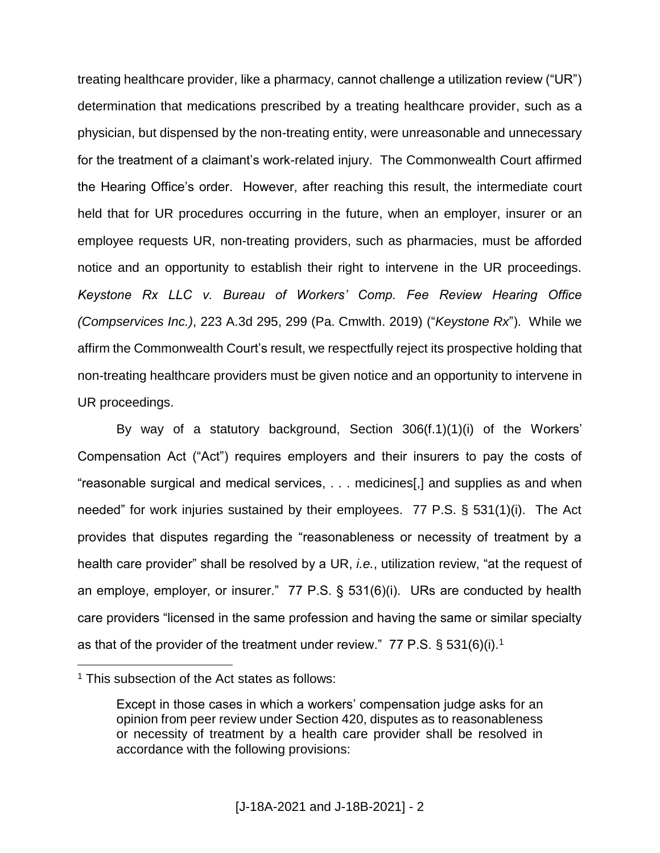treating healthcare provider, like a pharmacy, cannot challenge a utilization review ("UR") determination that medications prescribed by a treating healthcare provider, such as a physician, but dispensed by the non-treating entity, were unreasonable and unnecessary for the treatment of a claimant's work-related injury. The Commonwealth Court affirmed the Hearing Office's order. However, after reaching this result, the intermediate court held that for UR procedures occurring in the future, when an employer, insurer or an employee requests UR, non-treating providers, such as pharmacies, must be afforded notice and an opportunity to establish their right to intervene in the UR proceedings. *Keystone Rx LLC v. Bureau of Workers' Comp. Fee Review Hearing Office (Compservices Inc.)*, 223 A.3d 295, 299 (Pa. Cmwlth. 2019) ("*Keystone Rx*"). While we affirm the Commonwealth Court's result, we respectfully reject its prospective holding that non-treating healthcare providers must be given notice and an opportunity to intervene in UR proceedings.

By way of a statutory background, Section 306(f.1)(1)(i) of the Workers' Compensation Act ("Act") requires employers and their insurers to pay the costs of "reasonable surgical and medical services, . . . medicines[,] and supplies as and when needed" for work injuries sustained by their employees. 77 P.S. § 531(1)(i). The Act provides that disputes regarding the "reasonableness or necessity of treatment by a health care provider" shall be resolved by a UR, *i.e.*, utilization review, "at the request of an employe, employer, or insurer." 77 P.S. § 531(6)(i). URs are conducted by health care providers "licensed in the same profession and having the same or similar specialty as that of the provider of the treatment under review." 77 P.S.  $\S 531(6)(i).$ <sup>1</sup>

 $1$  This subsection of the Act states as follows:

Except in those cases in which a workers' compensation judge asks for an opinion from peer review under Section 420, disputes as to reasonableness or necessity of treatment by a health care provider shall be resolved in accordance with the following provisions: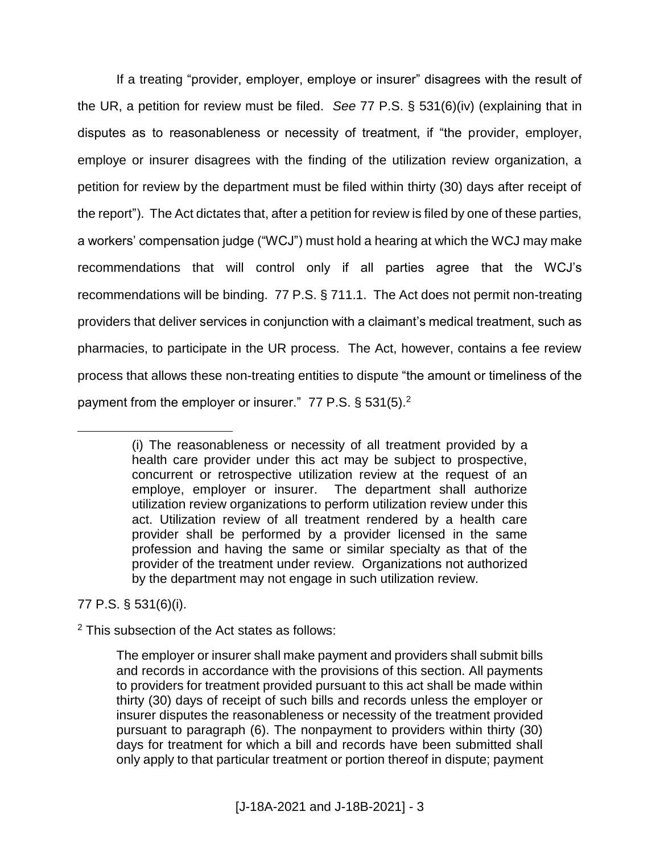If a treating "provider, employer, employe or insurer" disagrees with the result of the UR, a petition for review must be filed. *See* 77 P.S. § 531(6)(iv) (explaining that in disputes as to reasonableness or necessity of treatment, if "the provider, employer, employe or insurer disagrees with the finding of the utilization review organization, a petition for review by the department must be filed within thirty (30) days after receipt of the report"). The Act dictates that, after a petition for review is filed by one of these parties, a workers' compensation judge ("WCJ") must hold a hearing at which the WCJ may make recommendations that will control only if all parties agree that the WCJ's recommendations will be binding. 77 P.S. § 711.1. The Act does not permit non-treating providers that deliver services in conjunction with a claimant's medical treatment, such as pharmacies, to participate in the UR process. The Act, however, contains a fee review process that allows these non-treating entities to dispute "the amount or timeliness of the payment from the employer or insurer." 77 P.S. § 531(5).<sup>2</sup>

77 P.S. § 531(6)(i).

 $\overline{a}$ 

<sup>2</sup> This subsection of the Act states as follows:

<sup>(</sup>i) The reasonableness or necessity of all treatment provided by a health care provider under this act may be subject to prospective, concurrent or retrospective utilization review at the request of an employe, employer or insurer. The department shall authorize utilization review organizations to perform utilization review under this act. Utilization review of all treatment rendered by a health care provider shall be performed by a provider licensed in the same profession and having the same or similar specialty as that of the provider of the treatment under review. Organizations not authorized by the department may not engage in such utilization review.

The employer or insurer shall make payment and providers shall submit bills and records in accordance with the provisions of this section. All payments to providers for treatment provided pursuant to this act shall be made within thirty (30) days of receipt of such bills and records unless the employer or insurer disputes the reasonableness or necessity of the treatment provided pursuant to paragraph (6). The nonpayment to providers within thirty (30) days for treatment for which a bill and records have been submitted shall only apply to that particular treatment or portion thereof in dispute; payment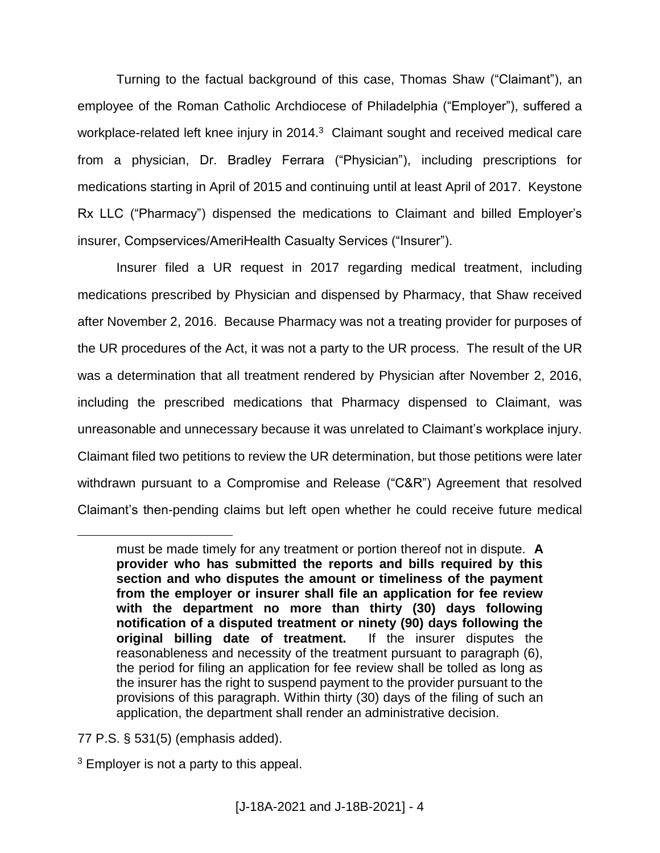Turning to the factual background of this case, Thomas Shaw ("Claimant"), an employee of the Roman Catholic Archdiocese of Philadelphia ("Employer"), suffered a workplace-related left knee injury in 2014. $3$  Claimant sought and received medical care from a physician, Dr. Bradley Ferrara ("Physician"), including prescriptions for medications starting in April of 2015 and continuing until at least April of 2017. Keystone Rx LLC ("Pharmacy") dispensed the medications to Claimant and billed Employer's insurer, Compservices/AmeriHealth Casualty Services ("Insurer").

Insurer filed a UR request in 2017 regarding medical treatment, including medications prescribed by Physician and dispensed by Pharmacy, that Shaw received after November 2, 2016. Because Pharmacy was not a treating provider for purposes of the UR procedures of the Act, it was not a party to the UR process. The result of the UR was a determination that all treatment rendered by Physician after November 2, 2016, including the prescribed medications that Pharmacy dispensed to Claimant, was unreasonable and unnecessary because it was unrelated to Claimant's workplace injury. Claimant filed two petitions to review the UR determination, but those petitions were later withdrawn pursuant to a Compromise and Release ("C&R") Agreement that resolved Claimant's then-pending claims but left open whether he could receive future medical

77 P.S. § 531(5) (emphasis added).

must be made timely for any treatment or portion thereof not in dispute. **A provider who has submitted the reports and bills required by this section and who disputes the amount or timeliness of the payment from the employer or insurer shall file an application for fee review with the department no more than thirty (30) days following notification of a disputed treatment or ninety (90) days following the original billing date of treatment.** If the insurer disputes the reasonableness and necessity of the treatment pursuant to paragraph (6), the period for filing an application for fee review shall be tolled as long as the insurer has the right to suspend payment to the provider pursuant to the provisions of this paragraph. Within thirty (30) days of the filing of such an application, the department shall render an administrative decision.

 $3$  Employer is not a party to this appeal.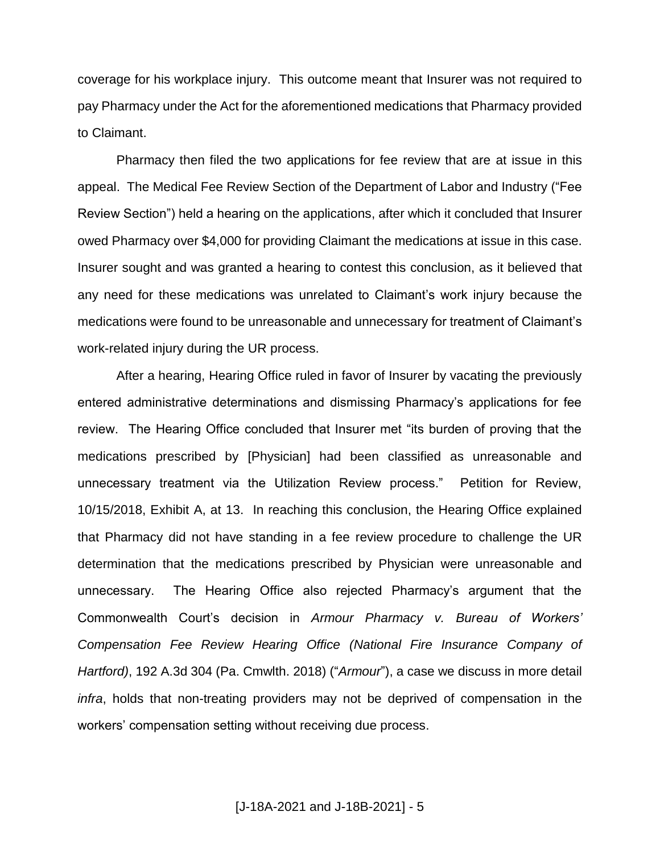coverage for his workplace injury. This outcome meant that Insurer was not required to pay Pharmacy under the Act for the aforementioned medications that Pharmacy provided to Claimant.

Pharmacy then filed the two applications for fee review that are at issue in this appeal. The Medical Fee Review Section of the Department of Labor and Industry ("Fee Review Section") held a hearing on the applications, after which it concluded that Insurer owed Pharmacy over \$4,000 for providing Claimant the medications at issue in this case. Insurer sought and was granted a hearing to contest this conclusion, as it believed that any need for these medications was unrelated to Claimant's work injury because the medications were found to be unreasonable and unnecessary for treatment of Claimant's work-related injury during the UR process.

After a hearing, Hearing Office ruled in favor of Insurer by vacating the previously entered administrative determinations and dismissing Pharmacy's applications for fee review. The Hearing Office concluded that Insurer met "its burden of proving that the medications prescribed by [Physician] had been classified as unreasonable and unnecessary treatment via the Utilization Review process." Petition for Review, 10/15/2018, Exhibit A, at 13. In reaching this conclusion, the Hearing Office explained that Pharmacy did not have standing in a fee review procedure to challenge the UR determination that the medications prescribed by Physician were unreasonable and unnecessary. The Hearing Office also rejected Pharmacy's argument that the Commonwealth Court's decision in *Armour Pharmacy v. Bureau of Workers' Compensation Fee Review Hearing Office (National Fire Insurance Company of Hartford)*, 192 A.3d 304 (Pa. Cmwlth. 2018) ("*Armour*"), a case we discuss in more detail *infra*, holds that non-treating providers may not be deprived of compensation in the workers' compensation setting without receiving due process.

[J-18A-2021 and J-18B-2021] - 5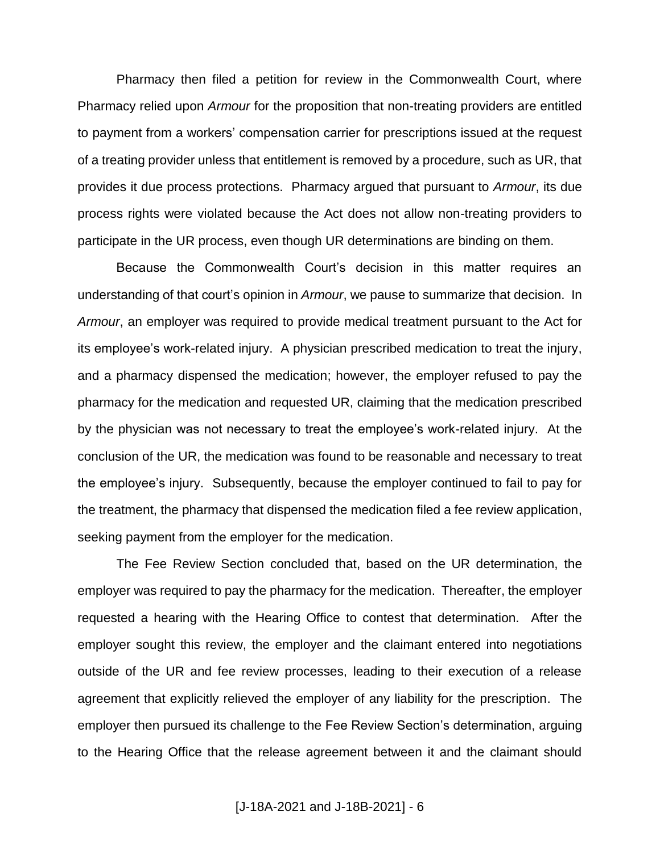Pharmacy then filed a petition for review in the Commonwealth Court, where Pharmacy relied upon *Armour* for the proposition that non-treating providers are entitled to payment from a workers' compensation carrier for prescriptions issued at the request of a treating provider unless that entitlement is removed by a procedure, such as UR, that provides it due process protections. Pharmacy argued that pursuant to *Armour*, its due process rights were violated because the Act does not allow non-treating providers to participate in the UR process, even though UR determinations are binding on them.

Because the Commonwealth Court's decision in this matter requires an understanding of that court's opinion in *Armour*, we pause to summarize that decision. In *Armour*, an employer was required to provide medical treatment pursuant to the Act for its employee's work-related injury. A physician prescribed medication to treat the injury, and a pharmacy dispensed the medication; however, the employer refused to pay the pharmacy for the medication and requested UR, claiming that the medication prescribed by the physician was not necessary to treat the employee's work-related injury. At the conclusion of the UR, the medication was found to be reasonable and necessary to treat the employee's injury. Subsequently, because the employer continued to fail to pay for the treatment, the pharmacy that dispensed the medication filed a fee review application, seeking payment from the employer for the medication.

The Fee Review Section concluded that, based on the UR determination, the employer was required to pay the pharmacy for the medication. Thereafter, the employer requested a hearing with the Hearing Office to contest that determination. After the employer sought this review, the employer and the claimant entered into negotiations outside of the UR and fee review processes, leading to their execution of a release agreement that explicitly relieved the employer of any liability for the prescription. The employer then pursued its challenge to the Fee Review Section's determination, arguing to the Hearing Office that the release agreement between it and the claimant should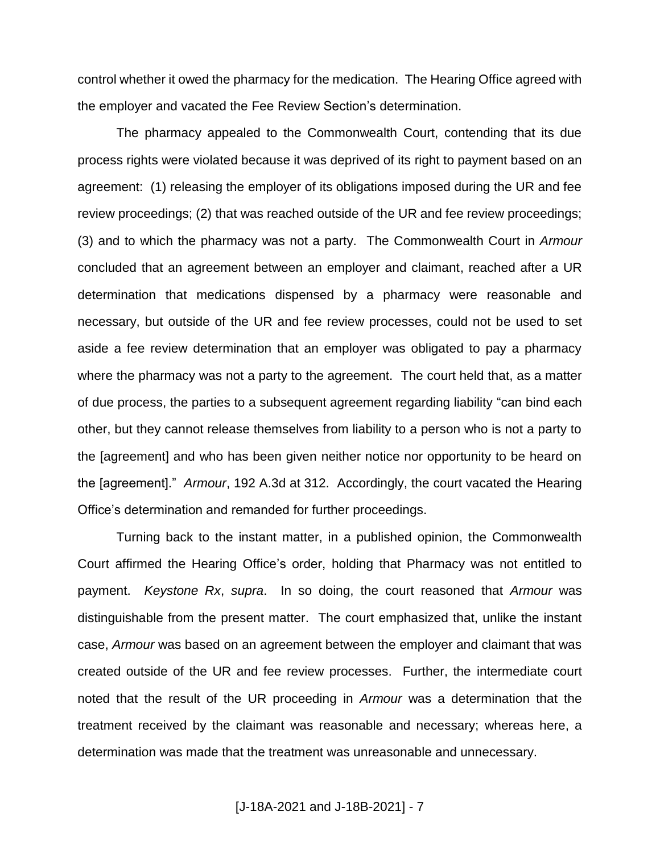control whether it owed the pharmacy for the medication. The Hearing Office agreed with the employer and vacated the Fee Review Section's determination.

The pharmacy appealed to the Commonwealth Court, contending that its due process rights were violated because it was deprived of its right to payment based on an agreement: (1) releasing the employer of its obligations imposed during the UR and fee review proceedings; (2) that was reached outside of the UR and fee review proceedings; (3) and to which the pharmacy was not a party. The Commonwealth Court in *Armour* concluded that an agreement between an employer and claimant, reached after a UR determination that medications dispensed by a pharmacy were reasonable and necessary, but outside of the UR and fee review processes, could not be used to set aside a fee review determination that an employer was obligated to pay a pharmacy where the pharmacy was not a party to the agreement. The court held that, as a matter of due process, the parties to a subsequent agreement regarding liability "can bind each other, but they cannot release themselves from liability to a person who is not a party to the [agreement] and who has been given neither notice nor opportunity to be heard on the [agreement]." *Armour*, 192 A.3d at 312. Accordingly, the court vacated the Hearing Office's determination and remanded for further proceedings.

Turning back to the instant matter, in a published opinion, the Commonwealth Court affirmed the Hearing Office's order, holding that Pharmacy was not entitled to payment. *Keystone Rx*, *supra*. In so doing, the court reasoned that *Armour* was distinguishable from the present matter. The court emphasized that, unlike the instant case, *Armour* was based on an agreement between the employer and claimant that was created outside of the UR and fee review processes. Further, the intermediate court noted that the result of the UR proceeding in *Armour* was a determination that the treatment received by the claimant was reasonable and necessary; whereas here, a determination was made that the treatment was unreasonable and unnecessary.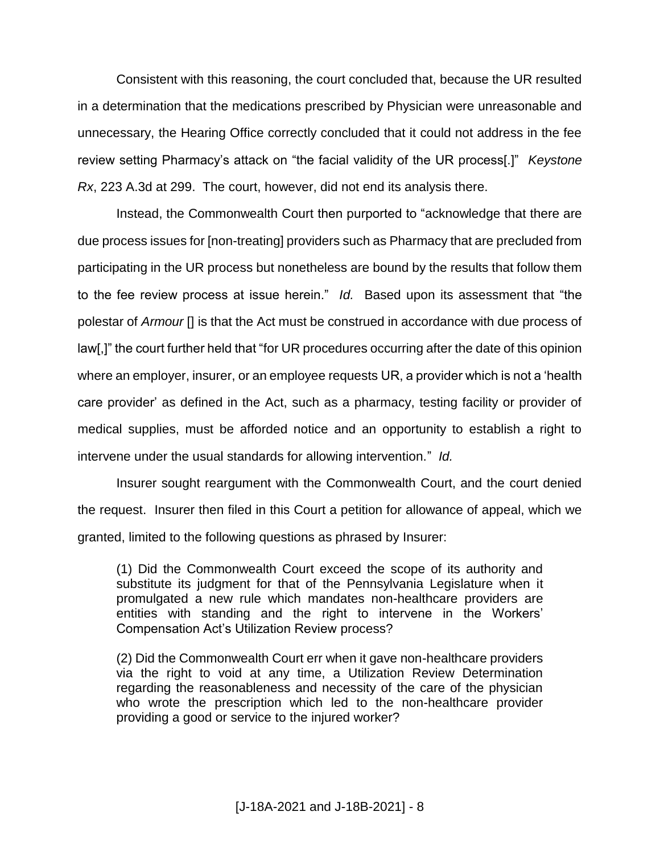Consistent with this reasoning, the court concluded that, because the UR resulted in a determination that the medications prescribed by Physician were unreasonable and unnecessary, the Hearing Office correctly concluded that it could not address in the fee review setting Pharmacy's attack on "the facial validity of the UR process[.]" *Keystone Rx*, 223 A.3d at 299. The court, however, did not end its analysis there.

Instead, the Commonwealth Court then purported to "acknowledge that there are due process issues for [non-treating] providers such as Pharmacy that are precluded from participating in the UR process but nonetheless are bound by the results that follow them to the fee review process at issue herein." *Id.* Based upon its assessment that "the polestar of *Armour* [] is that the Act must be construed in accordance with due process of law[,]" the court further held that "for UR procedures occurring after the date of this opinion where an employer, insurer, or an employee requests UR, a provider which is not a 'health care provider' as defined in the Act, such as a pharmacy, testing facility or provider of medical supplies, must be afforded notice and an opportunity to establish a right to intervene under the usual standards for allowing intervention." *Id.*

Insurer sought reargument with the Commonwealth Court, and the court denied the request. Insurer then filed in this Court a petition for allowance of appeal, which we granted, limited to the following questions as phrased by Insurer:

(1) Did the Commonwealth Court exceed the scope of its authority and substitute its judgment for that of the Pennsylvania Legislature when it promulgated a new rule which mandates non-healthcare providers are entities with standing and the right to intervene in the Workers' Compensation Act's Utilization Review process?

(2) Did the Commonwealth Court err when it gave non-healthcare providers via the right to void at any time, a Utilization Review Determination regarding the reasonableness and necessity of the care of the physician who wrote the prescription which led to the non-healthcare provider providing a good or service to the injured worker?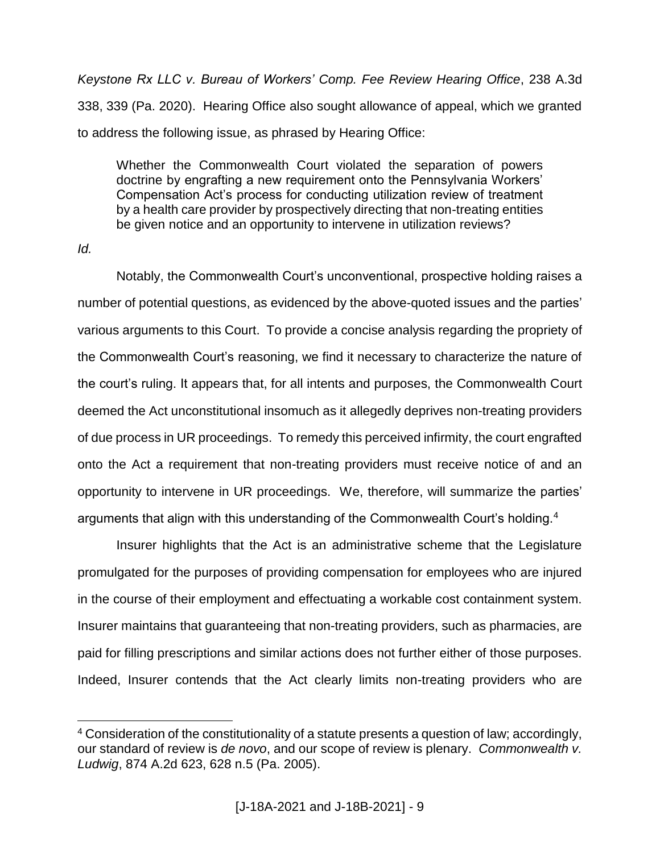*Keystone Rx LLC v. Bureau of Workers' Comp. Fee Review Hearing Office*, 238 A.3d 338, 339 (Pa. 2020). Hearing Office also sought allowance of appeal, which we granted to address the following issue, as phrased by Hearing Office:

Whether the Commonwealth Court violated the separation of powers doctrine by engrafting a new requirement onto the Pennsylvania Workers' Compensation Act's process for conducting utilization review of treatment by a health care provider by prospectively directing that non-treating entities be given notice and an opportunity to intervene in utilization reviews?

*Id.*

 $\overline{a}$ 

Notably, the Commonwealth Court's unconventional, prospective holding raises a number of potential questions, as evidenced by the above-quoted issues and the parties' various arguments to this Court. To provide a concise analysis regarding the propriety of the Commonwealth Court's reasoning, we find it necessary to characterize the nature of the court's ruling. It appears that, for all intents and purposes, the Commonwealth Court deemed the Act unconstitutional insomuch as it allegedly deprives non-treating providers of due process in UR proceedings. To remedy this perceived infirmity, the court engrafted onto the Act a requirement that non-treating providers must receive notice of and an opportunity to intervene in UR proceedings. We, therefore, will summarize the parties' arguments that align with this understanding of the Commonwealth Court's holding. $4$ 

Insurer highlights that the Act is an administrative scheme that the Legislature promulgated for the purposes of providing compensation for employees who are injured in the course of their employment and effectuating a workable cost containment system. Insurer maintains that guaranteeing that non-treating providers, such as pharmacies, are paid for filling prescriptions and similar actions does not further either of those purposes. Indeed, Insurer contends that the Act clearly limits non-treating providers who are

<sup>&</sup>lt;sup>4</sup> Consideration of the constitutionality of a statute presents a question of law; accordingly, our standard of review is *de novo*, and our scope of review is plenary. *Commonwealth v. Ludwig*, 874 A.2d 623, 628 n.5 (Pa. 2005).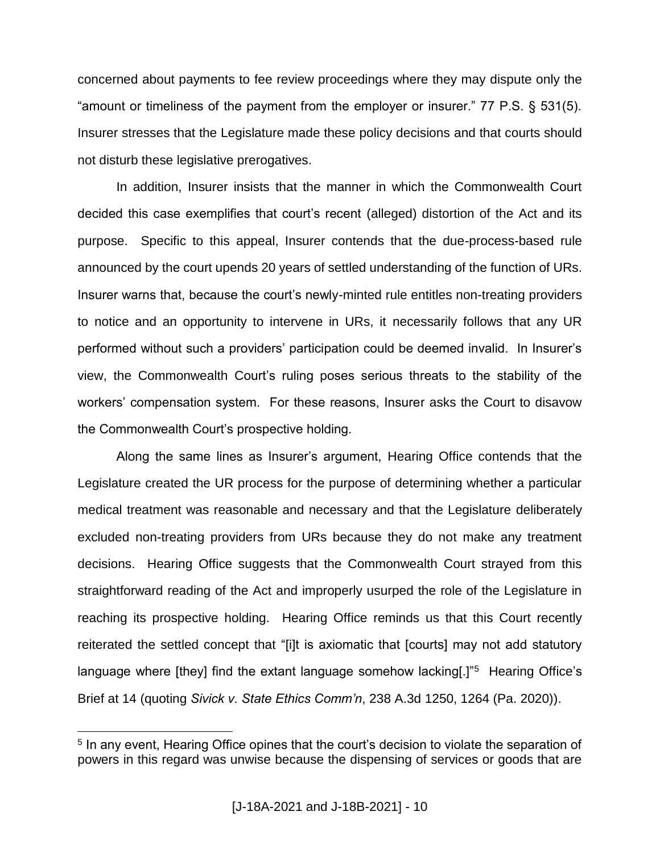concerned about payments to fee review proceedings where they may dispute only the "amount or timeliness of the payment from the employer or insurer." 77 P.S. § 531(5). Insurer stresses that the Legislature made these policy decisions and that courts should not disturb these legislative prerogatives.

In addition, Insurer insists that the manner in which the Commonwealth Court decided this case exemplifies that court's recent (alleged) distortion of the Act and its purpose. Specific to this appeal, Insurer contends that the due-process-based rule announced by the court upends 20 years of settled understanding of the function of URs. Insurer warns that, because the court's newly-minted rule entitles non-treating providers to notice and an opportunity to intervene in URs, it necessarily follows that any UR performed without such a providers' participation could be deemed invalid. In Insurer's view, the Commonwealth Court's ruling poses serious threats to the stability of the workers' compensation system. For these reasons, Insurer asks the Court to disavow the Commonwealth Court's prospective holding.

Along the same lines as Insurer's argument, Hearing Office contends that the Legislature created the UR process for the purpose of determining whether a particular medical treatment was reasonable and necessary and that the Legislature deliberately excluded non-treating providers from URs because they do not make any treatment decisions. Hearing Office suggests that the Commonwealth Court strayed from this straightforward reading of the Act and improperly usurped the role of the Legislature in reaching its prospective holding. Hearing Office reminds us that this Court recently reiterated the settled concept that "[i]t is axiomatic that [courts] may not add statutory language where [they] find the extant language somehow lacking[.]"<sup>5</sup> Hearing Office's Brief at 14 (quoting *Sivick v. State Ethics Comm'n*, 238 A.3d 1250, 1264 (Pa. 2020)).

<sup>&</sup>lt;sup>5</sup> In any event, Hearing Office opines that the court's decision to violate the separation of powers in this regard was unwise because the dispensing of services or goods that are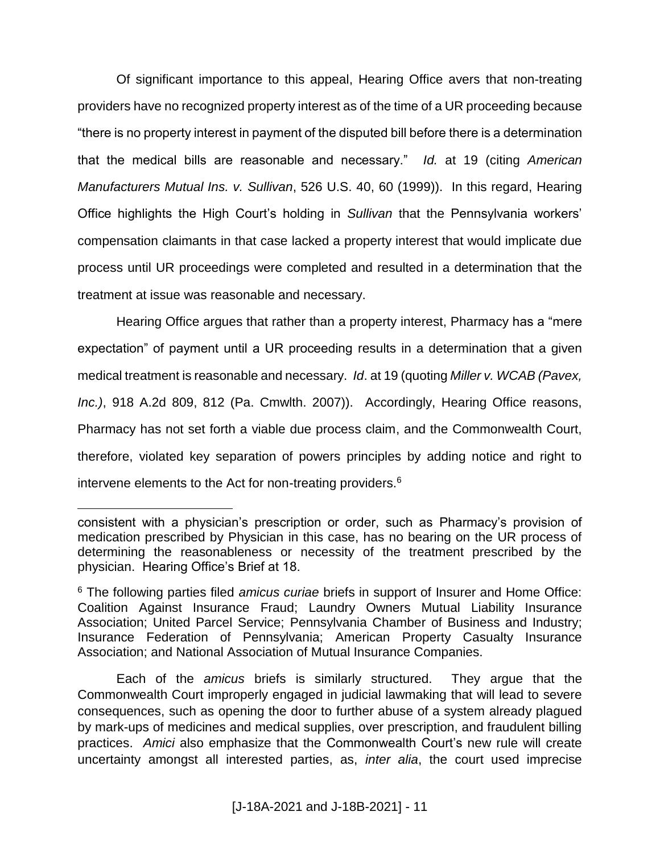Of significant importance to this appeal, Hearing Office avers that non-treating providers have no recognized property interest as of the time of a UR proceeding because "there is no property interest in payment of the disputed bill before there is a determination that the medical bills are reasonable and necessary." *Id.* at 19 (citing *American Manufacturers Mutual Ins. v. Sullivan*, 526 U.S. 40, 60 (1999)). In this regard, Hearing Office highlights the High Court's holding in *Sullivan* that the Pennsylvania workers' compensation claimants in that case lacked a property interest that would implicate due process until UR proceedings were completed and resulted in a determination that the treatment at issue was reasonable and necessary.

Hearing Office argues that rather than a property interest, Pharmacy has a "mere expectation" of payment until a UR proceeding results in a determination that a given medical treatment is reasonable and necessary. *Id*. at 19 (quoting *Miller v. WCAB (Pavex, Inc.)*, 918 A.2d 809, 812 (Pa. Cmwlth. 2007)). Accordingly, Hearing Office reasons, Pharmacy has not set forth a viable due process claim, and the Commonwealth Court, therefore, violated key separation of powers principles by adding notice and right to intervene elements to the Act for non-treating providers.<sup>6</sup>

consistent with a physician's prescription or order, such as Pharmacy's provision of medication prescribed by Physician in this case, has no bearing on the UR process of determining the reasonableness or necessity of the treatment prescribed by the physician. Hearing Office's Brief at 18.

<sup>6</sup> The following parties filed *amicus curiae* briefs in support of Insurer and Home Office: Coalition Against Insurance Fraud; Laundry Owners Mutual Liability Insurance Association; United Parcel Service; Pennsylvania Chamber of Business and Industry; Insurance Federation of Pennsylvania; American Property Casualty Insurance Association; and National Association of Mutual Insurance Companies.

Each of the *amicus* briefs is similarly structured. They argue that the Commonwealth Court improperly engaged in judicial lawmaking that will lead to severe consequences, such as opening the door to further abuse of a system already plagued by mark-ups of medicines and medical supplies, over prescription, and fraudulent billing practices. *Amici* also emphasize that the Commonwealth Court's new rule will create uncertainty amongst all interested parties, as, *inter alia*, the court used imprecise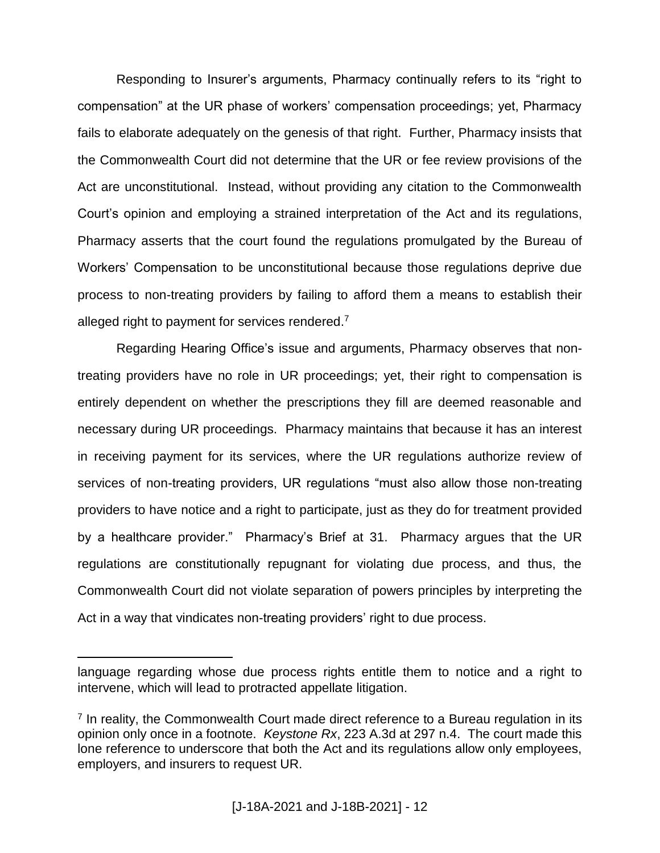Responding to Insurer's arguments, Pharmacy continually refers to its "right to compensation" at the UR phase of workers' compensation proceedings; yet, Pharmacy fails to elaborate adequately on the genesis of that right. Further, Pharmacy insists that the Commonwealth Court did not determine that the UR or fee review provisions of the Act are unconstitutional. Instead, without providing any citation to the Commonwealth Court's opinion and employing a strained interpretation of the Act and its regulations, Pharmacy asserts that the court found the regulations promulgated by the Bureau of Workers' Compensation to be unconstitutional because those regulations deprive due process to non-treating providers by failing to afford them a means to establish their alleged right to payment for services rendered.<sup>7</sup>

Regarding Hearing Office's issue and arguments, Pharmacy observes that nontreating providers have no role in UR proceedings; yet, their right to compensation is entirely dependent on whether the prescriptions they fill are deemed reasonable and necessary during UR proceedings. Pharmacy maintains that because it has an interest in receiving payment for its services, where the UR regulations authorize review of services of non-treating providers, UR regulations "must also allow those non-treating providers to have notice and a right to participate, just as they do for treatment provided by a healthcare provider." Pharmacy's Brief at 31. Pharmacy argues that the UR regulations are constitutionally repugnant for violating due process, and thus, the Commonwealth Court did not violate separation of powers principles by interpreting the Act in a way that vindicates non-treating providers' right to due process.

language regarding whose due process rights entitle them to notice and a right to intervene, which will lead to protracted appellate litigation.

<sup>&</sup>lt;sup>7</sup> In reality, the Commonwealth Court made direct reference to a Bureau regulation in its opinion only once in a footnote. *Keystone Rx*, 223 A.3d at 297 n.4. The court made this lone reference to underscore that both the Act and its regulations allow only employees, employers, and insurers to request UR.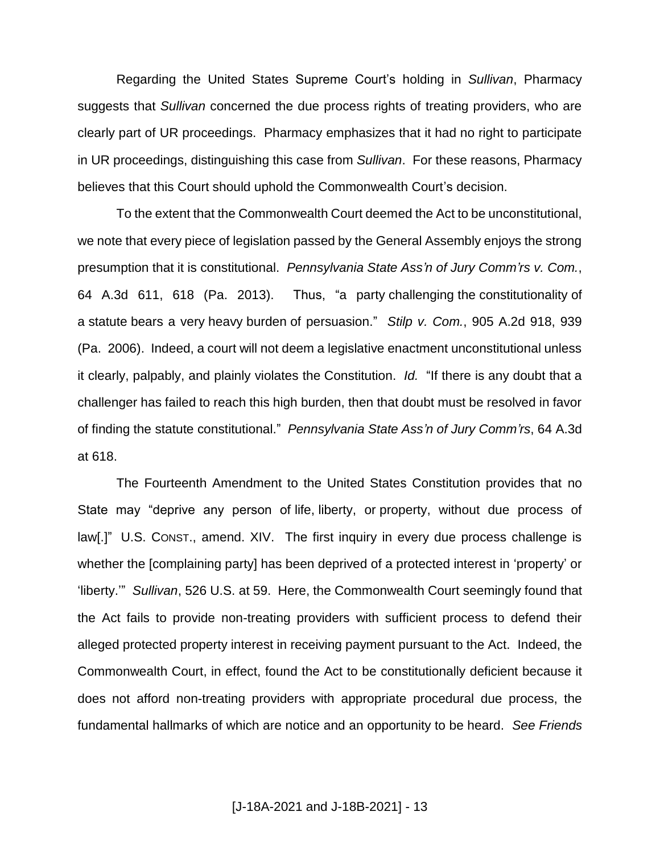Regarding the United States Supreme Court's holding in *Sullivan*, Pharmacy suggests that *Sullivan* concerned the due process rights of treating providers, who are clearly part of UR proceedings. Pharmacy emphasizes that it had no right to participate in UR proceedings, distinguishing this case from *Sullivan*. For these reasons, Pharmacy believes that this Court should uphold the Commonwealth Court's decision.

To the extent that the Commonwealth Court deemed the Act to be unconstitutional, we note that every piece of legislation passed by the General Assembly enjoys the strong presumption that it is constitutional. *Pennsylvania State Ass'n of Jury Comm'rs v. Com.*, 64 A.3d 611, 618 (Pa. 2013). Thus, "a party challenging the constitutionality of a statute bears a very heavy burden of persuasion." *Stilp v. Com.*, 905 A.2d 918, 939 (Pa. 2006). Indeed, a court will not deem a legislative enactment unconstitutional unless it clearly, palpably, and plainly violates the Constitution. *Id.* "If there is any doubt that a challenger has failed to reach this high burden, then that doubt must be resolved in favor of finding the statute constitutional." *Pennsylvania State Ass'n of Jury Comm'rs*, 64 A.3d at 618.

The Fourteenth Amendment to the United States Constitution provides that no State may "deprive any person of life, liberty, or property, without due process of law[.]" U.S. CONST., amend. XIV. The first inquiry in every due process challenge is whether the [complaining party] has been deprived of a protected interest in 'property' or 'liberty.'" *Sullivan*, 526 U.S. at 59. Here, the Commonwealth Court seemingly found that the Act fails to provide non-treating providers with sufficient process to defend their alleged protected property interest in receiving payment pursuant to the Act. Indeed, the Commonwealth Court, in effect, found the Act to be constitutionally deficient because it does not afford non-treating providers with appropriate procedural due process, the fundamental hallmarks of which are notice and an opportunity to be heard. *See Friends*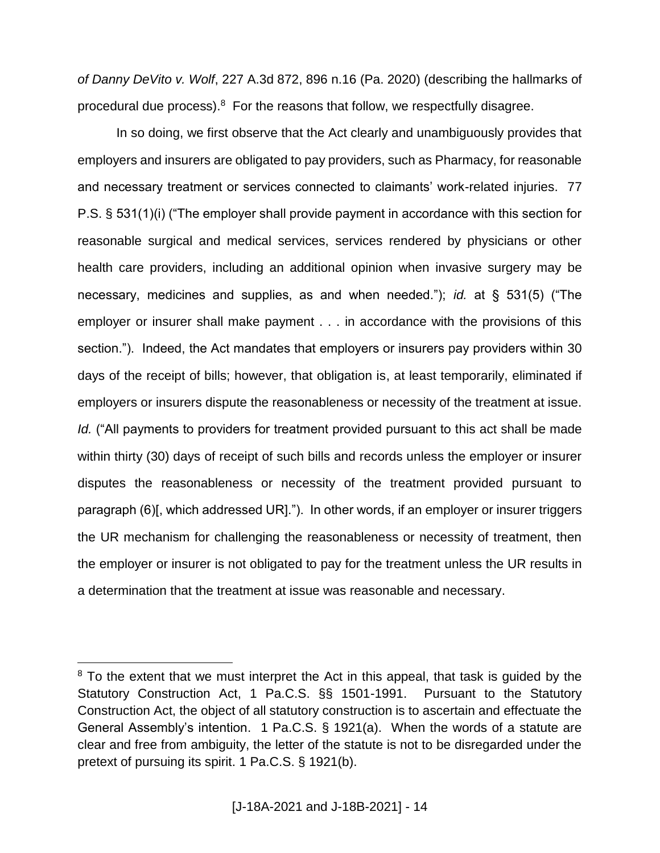*of Danny DeVito v. Wolf*, 227 A.3d 872, 896 n.16 (Pa. 2020) (describing the hallmarks of procedural due process). $8$  For the reasons that follow, we respectfully disagree.

In so doing, we first observe that the Act clearly and unambiguously provides that employers and insurers are obligated to pay providers, such as Pharmacy, for reasonable and necessary treatment or services connected to claimants' work-related injuries. 77 P.S. § 531(1)(i) ("The employer shall provide payment in accordance with this section for reasonable surgical and medical services, services rendered by physicians or other health care providers, including an additional opinion when invasive surgery may be necessary, medicines and supplies, as and when needed."); *id.* at § 531(5) ("The employer or insurer shall make payment . . . in accordance with the provisions of this section."). Indeed, the Act mandates that employers or insurers pay providers within 30 days of the receipt of bills; however, that obligation is, at least temporarily, eliminated if employers or insurers dispute the reasonableness or necessity of the treatment at issue. *Id.* ("All payments to providers for treatment provided pursuant to this act shall be made within thirty (30) days of receipt of such bills and records unless the employer or insurer disputes the reasonableness or necessity of the treatment provided pursuant to paragraph (6)[, which addressed UR]."). In other words, if an employer or insurer triggers the UR mechanism for challenging the reasonableness or necessity of treatment, then the employer or insurer is not obligated to pay for the treatment unless the UR results in a determination that the treatment at issue was reasonable and necessary.

<sup>&</sup>lt;sup>8</sup> To the extent that we must interpret the Act in this appeal, that task is guided by the Statutory Construction Act, 1 Pa.C.S. §§ 1501-1991. Pursuant to the Statutory Construction Act, the object of all statutory construction is to ascertain and effectuate the General Assembly's intention. 1 Pa.C.S. § 1921(a). When the words of a statute are clear and free from ambiguity, the letter of the statute is not to be disregarded under the pretext of pursuing its spirit. 1 Pa.C.S. § 1921(b).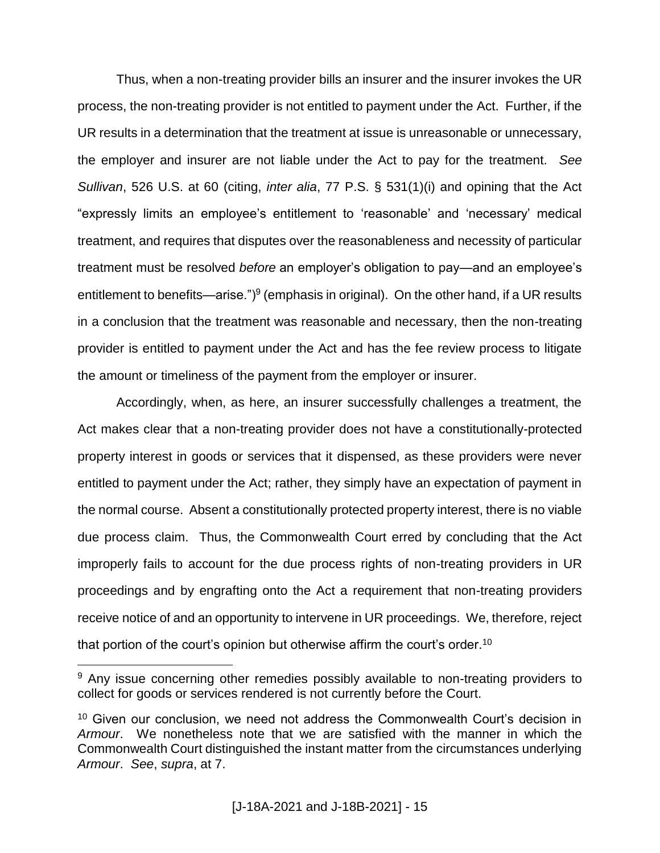Thus, when a non-treating provider bills an insurer and the insurer invokes the UR process, the non-treating provider is not entitled to payment under the Act. Further, if the UR results in a determination that the treatment at issue is unreasonable or unnecessary, the employer and insurer are not liable under the Act to pay for the treatment. *See Sullivan*, 526 U.S. at 60 (citing, *inter alia*, 77 P.S. § 531(1)(i) and opining that the Act "expressly limits an employee's entitlement to 'reasonable' and 'necessary' medical treatment, and requires that disputes over the reasonableness and necessity of particular treatment must be resolved *before* an employer's obligation to pay—and an employee's entitlement to benefits—arise.") $9$  (emphasis in original). On the other hand, if a UR results in a conclusion that the treatment was reasonable and necessary, then the non-treating provider is entitled to payment under the Act and has the fee review process to litigate the amount or timeliness of the payment from the employer or insurer.

Accordingly, when, as here, an insurer successfully challenges a treatment, the Act makes clear that a non-treating provider does not have a constitutionally-protected property interest in goods or services that it dispensed, as these providers were never entitled to payment under the Act; rather, they simply have an expectation of payment in the normal course. Absent a constitutionally protected property interest, there is no viable due process claim. Thus, the Commonwealth Court erred by concluding that the Act improperly fails to account for the due process rights of non-treating providers in UR proceedings and by engrafting onto the Act a requirement that non-treating providers receive notice of and an opportunity to intervene in UR proceedings. We, therefore, reject that portion of the court's opinion but otherwise affirm the court's order. $^{\rm 10}$ 

<sup>&</sup>lt;sup>9</sup> Any issue concerning other remedies possibly available to non-treating providers to collect for goods or services rendered is not currently before the Court.

<sup>&</sup>lt;sup>10</sup> Given our conclusion, we need not address the Commonwealth Court's decision in *Armour*. We nonetheless note that we are satisfied with the manner in which the Commonwealth Court distinguished the instant matter from the circumstances underlying *Armour*. *See*, *supra*, at 7.